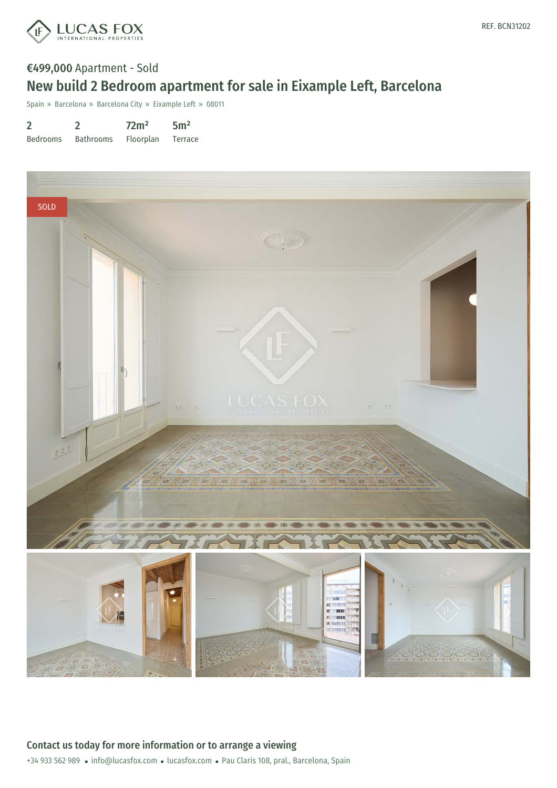

# €499,000 Apartment - Sold New build 2 Bedroom apartment for sale in Eixample Left, Barcelona

Spain » Barcelona » Barcelona City » Eixample Left » 08011

| $\overline{2}$  |                  | 72 <sup>2</sup>  | 5 <sup>m²</sup> |
|-----------------|------------------|------------------|-----------------|
| <b>Bedrooms</b> | <b>Bathrooms</b> | <b>Floorplan</b> | Terrace         |

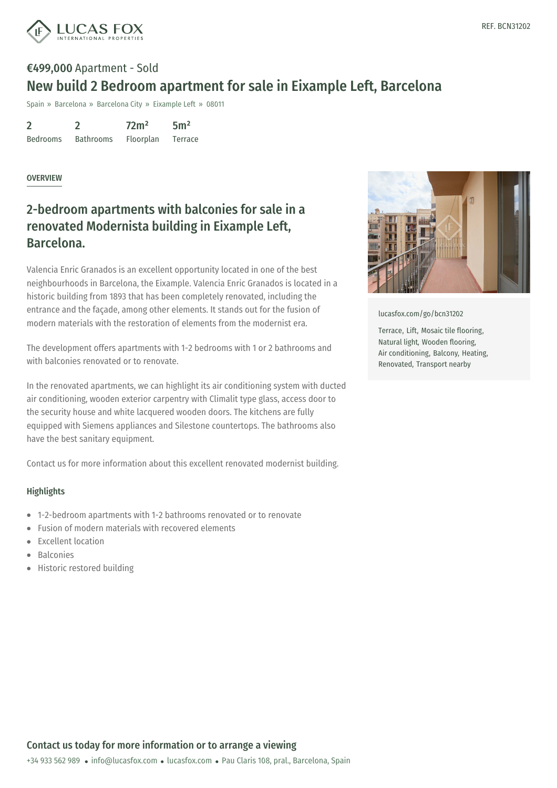

# €499,000 Apartment - Sold New build 2 Bedroom apartment for sale in Eixample Left, Barcelona

Spain » Barcelona » Barcelona City » Eixample Left » 08011

| $\overline{2}$  |                  | 72 <sup>m²</sup> | 5 <sup>m²</sup> |
|-----------------|------------------|------------------|-----------------|
| <b>Bedrooms</b> | <b>Bathrooms</b> | Floorplan        | Terrace         |

### **OVERVIEW**

### 2-bedroom apartments with balconies for sale in a renovated Modernista building in Eixample Left, Barcelona.

Valencia Enric Granados is an excellent opportunity located in one of the best neighbourhoods in Barcelona, the Eixample. Valencia Enric Granados is located in a historic building from 1893 that has been completely renovated, including the entrance and the façade, among other elements. It stands out for the fusion of modern materials with the restoration of elements from the modernist era.

The development offers apartments with 1-2 bedrooms with 1 or 2 bathrooms and with balconies renovated or to renovate.

In the renovated apartments, we can highlight its air conditioning system with ducted air conditioning, wooden exterior carpentry with Climalit type glass, access door to the security house and white lacquered wooden doors. The kitchens are fully equipped with Siemens appliances and Silestone countertops. The bathrooms also have the best sanitary equipment.

Contact us for more information about this excellent renovated modernist building.

#### **Highlights**

- 1-2-bedroom apartments with 1-2 bathrooms renovated or to renovate
- Fusion of modern materials with recovered elements
- Excellent location
- Balconies
- Historic restored building



[lucasfox.com/go/bcn31202](https://www.lucasfox.com/go/bcn31202)

Terrace, Lift, Mosaic tile flooring, Natural light, Wooden flooring, Air conditioning, Balcony, Heating, Renovated, Transport nearby